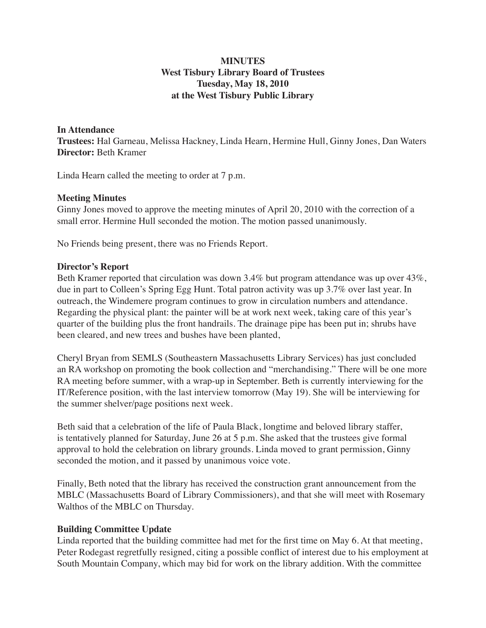# **MINUTES West Tisbury Library Board of Trustees Tuesday, May 18, 2010 at the West Tisbury Public Library**

#### **In Attendance**

**Trustees:** Hal Garneau, Melissa Hackney, Linda Hearn, Hermine Hull, Ginny Jones, Dan Waters **Director:** Beth Kramer

Linda Hearn called the meeting to order at 7 p.m.

#### **Meeting Minutes**

Ginny Jones moved to approve the meeting minutes of April 20, 2010 with the correction of a small error. Hermine Hull seconded the motion. The motion passed unanimously.

No Friends being present, there was no Friends Report.

### **Director's Report**

Beth Kramer reported that circulation was down 3.4% but program attendance was up over 43%, due in part to Colleen's Spring Egg Hunt. Total patron activity was up 3.7% over last year. In outreach, the Windemere program continues to grow in circulation numbers and attendance. Regarding the physical plant: the painter will be at work next week, taking care of this year's quarter of the building plus the front handrails. The drainage pipe has been put in; shrubs have been cleared, and new trees and bushes have been planted,

Cheryl Bryan from SEMLS (Southeastern Massachusetts Library Services) has just concluded an RA workshop on promoting the book collection and "merchandising." There will be one more RA meeting before summer, with a wrap-up in September. Beth is currently interviewing for the IT/Reference position, with the last interview tomorrow (May 19). She will be interviewing for the summer shelver/page positions next week.

Beth said that a celebration of the life of Paula Black, longtime and beloved library staffer, is tentatively planned for Saturday, June 26 at 5 p.m. She asked that the trustees give formal approval to hold the celebration on library grounds. Linda moved to grant permission, Ginny seconded the motion, and it passed by unanimous voice vote.

Finally, Beth noted that the library has received the construction grant announcement from the MBLC (Massachusetts Board of Library Commissioners), and that she will meet with Rosemary Walthos of the MBLC on Thursday.

## **Building Committee Update**

Linda reported that the building committee had met for the first time on May 6. At that meeting, Peter Rodegast regretfully resigned, citing a possible conflict of interest due to his employment at South Mountain Company, which may bid for work on the library addition. With the committee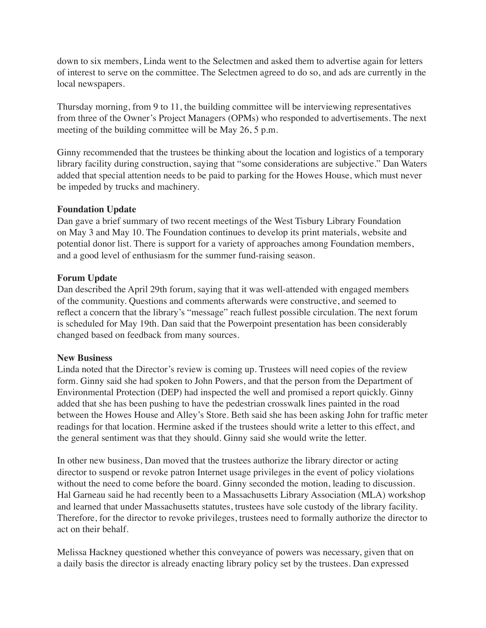down to six members, Linda went to the Selectmen and asked them to advertise again for letters of interest to serve on the committee. The Selectmen agreed to do so, and ads are currently in the local newspapers.

Thursday morning, from 9 to 11, the building committee will be interviewing representatives from three of the Owner's Project Managers (OPMs) who responded to advertisements. The next meeting of the building committee will be May 26, 5 p.m.

Ginny recommended that the trustees be thinking about the location and logistics of a temporary library facility during construction, saying that "some considerations are subjective." Dan Waters added that special attention needs to be paid to parking for the Howes House, which must never be impeded by trucks and machinery.

### **Foundation Update**

Dan gave a brief summary of two recent meetings of the West Tisbury Library Foundation on May 3 and May 10. The Foundation continues to develop its print materials, website and potential donor list. There is support for a variety of approaches among Foundation members, and a good level of enthusiasm for the summer fund-raising season.

### **Forum Update**

Dan described the April 29th forum, saying that it was well-attended with engaged members of the community. Questions and comments afterwards were constructive, and seemed to reflect a concern that the library's "message" reach fullest possible circulation. The next forum is scheduled for May 19th. Dan said that the Powerpoint presentation has been considerably changed based on feedback from many sources.

## **New Business**

Linda noted that the Director's review is coming up. Trustees will need copies of the review form. Ginny said she had spoken to John Powers, and that the person from the Department of Environmental Protection (DEP) had inspected the well and promised a report quickly. Ginny added that she has been pushing to have the pedestrian crosswalk lines painted in the road between the Howes House and Alley's Store. Beth said she has been asking John for traffic meter readings for that location. Hermine asked if the trustees should write a letter to this effect, and the general sentiment was that they should. Ginny said she would write the letter.

In other new business, Dan moved that the trustees authorize the library director or acting director to suspend or revoke patron Internet usage privileges in the event of policy violations without the need to come before the board. Ginny seconded the motion, leading to discussion. Hal Garneau said he had recently been to a Massachusetts Library Association (MLA) workshop and learned that under Massachusetts statutes, trustees have sole custody of the library facility. Therefore, for the director to revoke privileges, trustees need to formally authorize the director to act on their behalf.

Melissa Hackney questioned whether this conveyance of powers was necessary, given that on a daily basis the director is already enacting library policy set by the trustees. Dan expressed